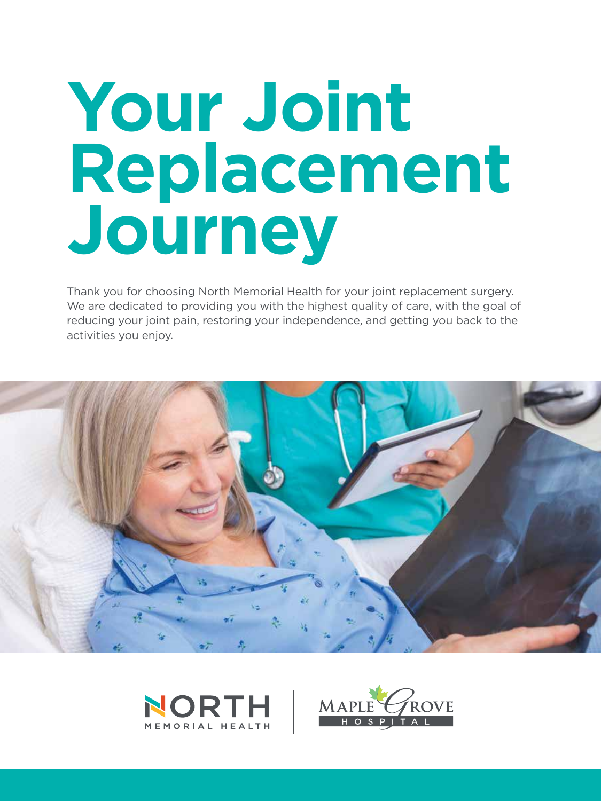# **Your Joint Replacement Journey**

Thank you for choosing North Memorial Health for your joint replacement surgery. We are dedicated to providing you with the highest quality of care, with the goal of reducing your joint pain, restoring your independence, and getting you back to the activities you enjoy.





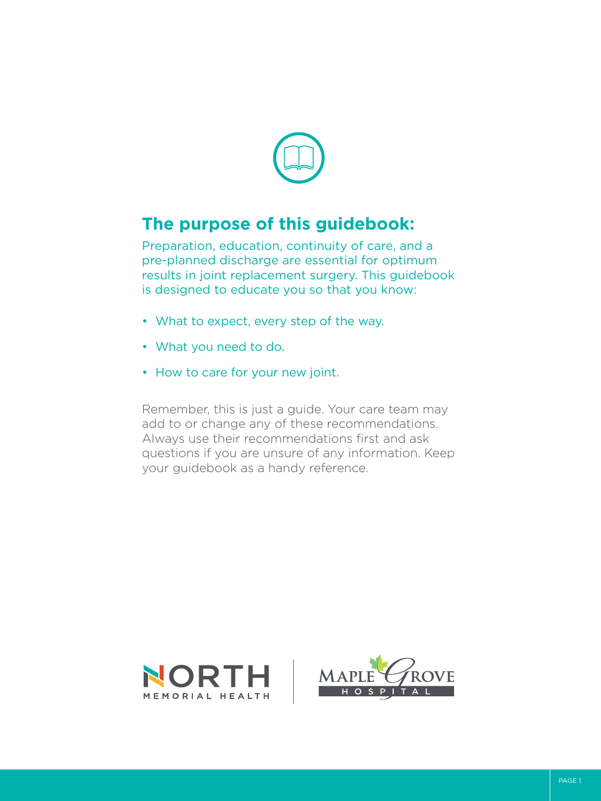

## **The purpose of this guidebook:**

Preparation, education, continuity of care, and a pre-planned discharge are essential for optimum results in joint replacement surgery. This guidebook is designed to educate you so that you know:

- What to expect, every step of the way.
- What you need to do.
- How to care for your new joint.

Remember, this is just a guide. Your care team may add to or change any of these recommendations. Always use their recommendations first and ask questions if you are unsure of any information. Keep your guidebook as a handy reference.



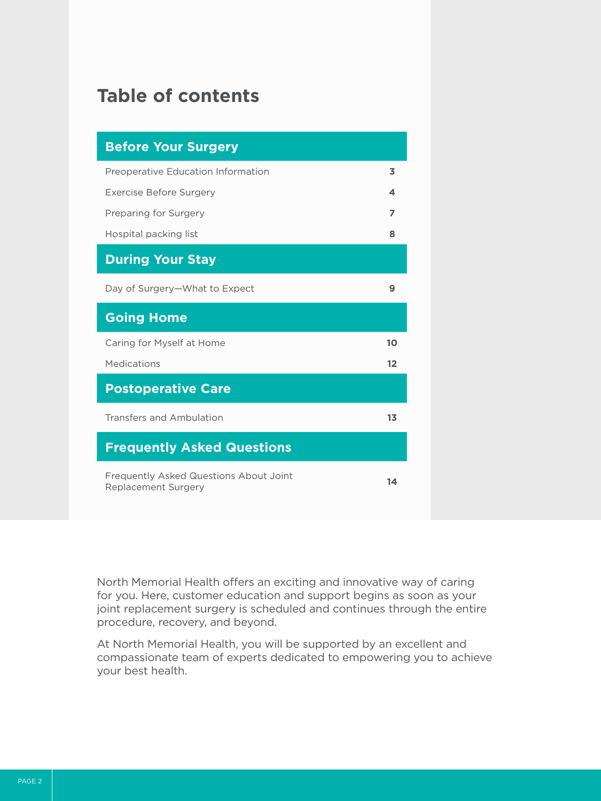# **Table of contents**

| <b>Before Your Surgery</b>                                           |                |
|----------------------------------------------------------------------|----------------|
| Preoperative Education Information                                   | 3              |
| <b>Exercise Before Surgery</b>                                       | 4              |
| Preparing for Surgery                                                | $\overline{ }$ |
| Hospital packing list                                                | 8              |
| <b>During Your Stay</b>                                              |                |
| Day of Surgery-What to Expect                                        | 9              |
| <b>Going Home</b>                                                    |                |
| Caring for Myself at Home                                            | 10             |
| Medications                                                          | 12             |
| <b>Postoperative Care</b>                                            |                |
| Transfers and Ambulation                                             | 13             |
| <b>Frequently Asked Questions</b>                                    |                |
| Frequently Asked Questions About Joint<br><b>Replacement Surgery</b> | 14             |

North Memorial Health offers an exciting and innovative way of caring for you. Here, customer education and support begins as soon as your joint replacement surgery is scheduled and continues through the entire procedure, recovery, and beyond.

At North Memorial Health, you will be supported by an excellent and compassionate team of experts dedicated to empowering you to achieve your best health.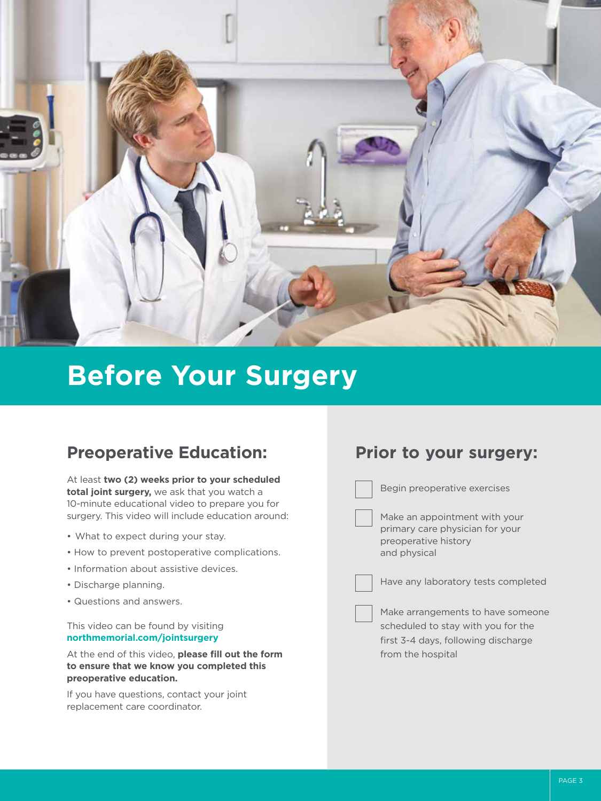

# **Before Your Surgery**

### **Preoperative Education:**

At least **two (2) weeks prior to your scheduled total joint surgery,** we ask that you watch a 10-minute educational video to prepare you for surgery. This video will include education around:

- What to expect during your stay.
- How to prevent postoperative complications.
- Information about assistive devices.
- Discharge planning.
- Questions and answers.

This video can be found by visiting **northmemorial.com/jointsurgery** 

At the end of this video, **please fill out the form to ensure that we know you completed this preoperative education.**

If you have questions, contact your joint replacement care coordinator.

### **Prior to your surgery:**

Begin preoperative exercises

Make an appointment with your primary care physician for your preoperative history and physical

Have any laboratory tests completed

Make arrangements to have someone scheduled to stay with you for the first 3-4 days, following discharge from the hospital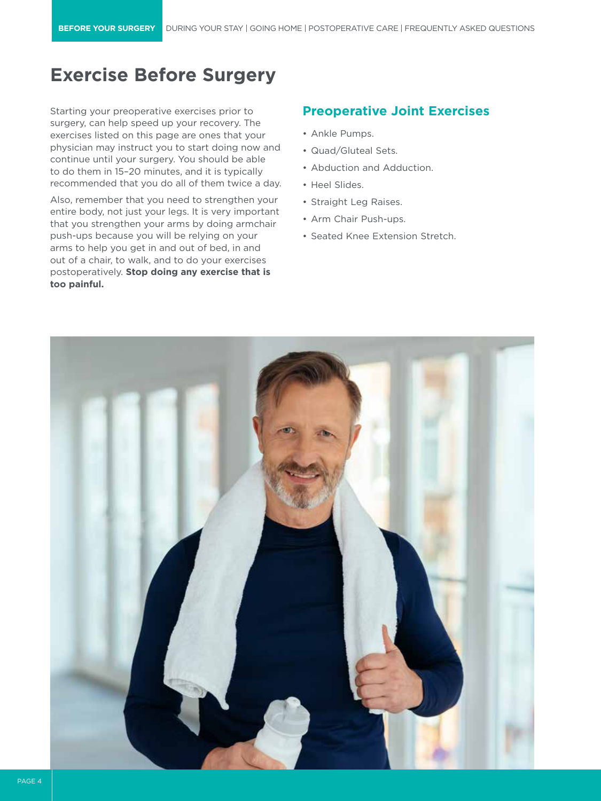# **Exercise Before Surgery**

Starting your preoperative exercises prior to surgery, can help speed up your recovery. The exercises listed on this page are ones that your physician may instruct you to start doing now and continue until your surgery. You should be able to do them in 15–20 minutes, and it is typically recommended that you do all of them twice a day.

Also, remember that you need to strengthen your entire body, not just your legs. It is very important that you strengthen your arms by doing armchair push-ups because you will be relying on your arms to help you get in and out of bed, in and out of a chair, to walk, and to do your exercises postoperatively. **Stop doing any exercise that is too painful.**

### **Preoperative Joint Exercises**

- Ankle Pumps.
- Quad/Gluteal Sets.
- Abduction and Adduction.
- Heel Slides.
- Straight Leg Raises.
- Arm Chair Push-ups.
- Seated Knee Extension Stretch.

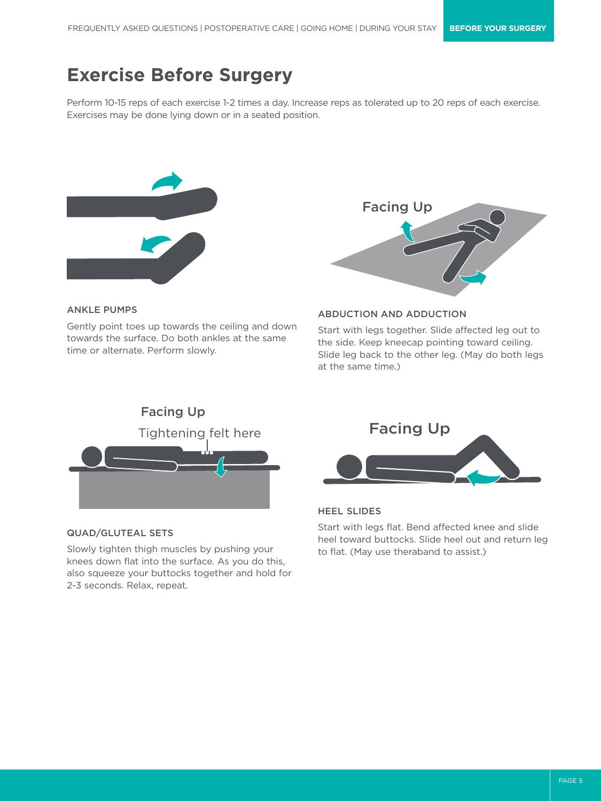# **Exercise Before Surgery**

Perform 10-15 reps of each exercise 1-2 times a day. Increase reps as tolerated up to 20 reps of each exercise. Exercises may be done lying down or in a seated position.



# Facing Up

### ANKLE PUMPS

Gently point toes up towards the ceiling and down towards the surface. Do both ankles at the same time or alternate. Perform slowly.



Start with legs together. Slide affected leg out to

ABDUCTION AND ADDUCTION



### QUAD/GLUTEAL SETS

Slowly tighten thigh muscles by pushing your knees down flat into the surface. As you do this, also squeeze your buttocks together and hold for 2-3 seconds. Relax, repeat.



### HEEL SLIDES

Start with legs flat. Bend affected knee and slide heel toward buttocks. Slide heel out and return leg to flat. (May use theraband to assist.)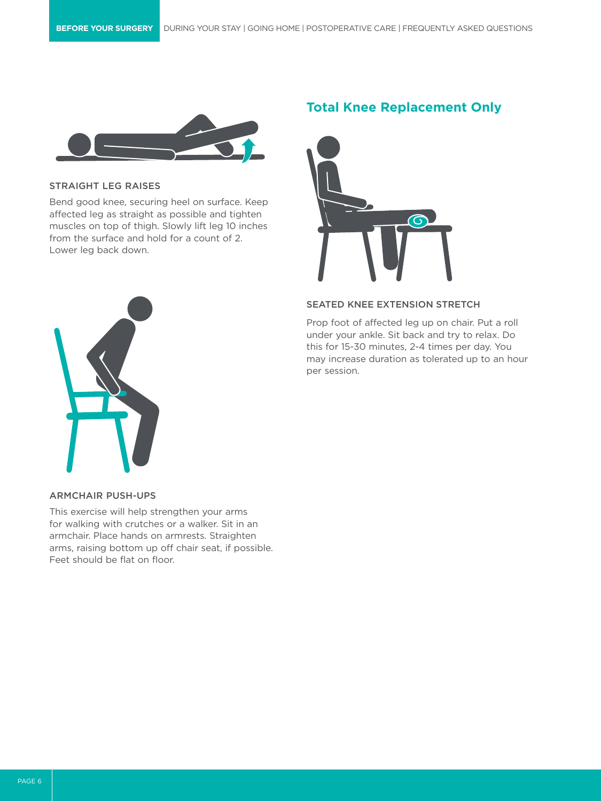

### STRAIGHT LEG RAISES

Bend good knee, securing heel on surface. Keep affected leg as straight as possible and tighten muscles on top of thigh. Slowly lift leg 10 inches from the surface and hold for a count of 2. Lower leg back down.





### SEATED KNEE EXTENSION STRETCH

Prop foot of affected leg up on chair. Put a roll under your ankle. Sit back and try to relax. Do this for 15-30 minutes, 2-4 times per day. You may increase duration as tolerated up to an hour per session.



### ARMCHAIR PUSH-UPS

This exercise will help strengthen your arms for walking with crutches or a walker. Sit in an armchair. Place hands on armrests. Straighten arms, raising bottom up off chair seat, if possible. Feet should be flat on floor.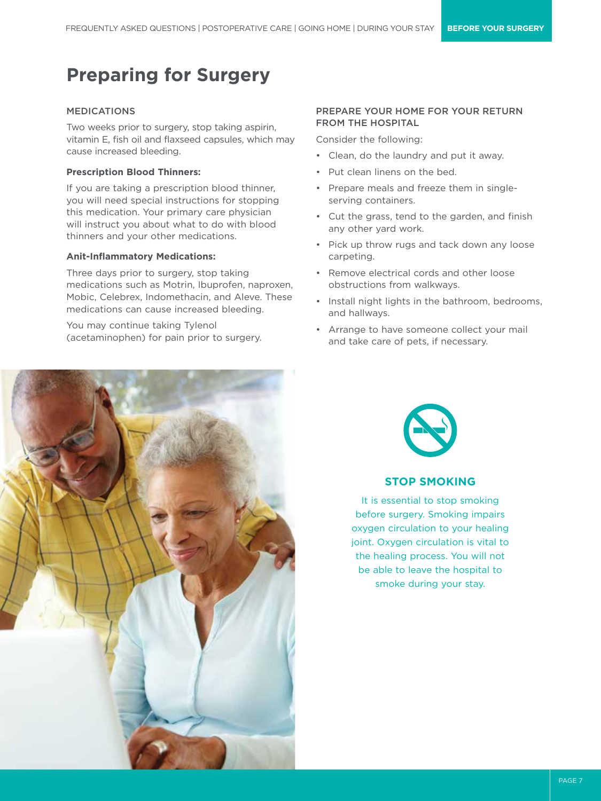# **Preparing for Surgery**

### MEDICATIONS

Two weeks prior to surgery, stop taking aspirin, vitamin E, fish oil and flaxseed capsules, which may cause increased bleeding.

### **Prescription Blood Thinners:**

If you are taking a prescription blood thinner, you will need special instructions for stopping this medication. Your primary care physician will instruct you about what to do with blood thinners and your other medications.

### **Anit-Inflammatory Medications:**

Three days prior to surgery, stop taking medications such as Motrin, Ibuprofen, naproxen, Mobic, Celebrex, Indomethacin, and Aleve. These medications can cause increased bleeding.

You may continue taking Tylenol (acetaminophen) for pain prior to surgery.

### PREPARE YOUR HOME FOR YOUR RETURN FROM THE HOSPITAL

Consider the following:

- Clean, do the laundry and put it away.
- Put clean linens on the bed.
- Prepare meals and freeze them in singleserving containers.
- Cut the grass, tend to the garden, and finish any other yard work.
- Pick up throw rugs and tack down any loose carpeting.
- Remove electrical cords and other loose obstructions from walkways.
- Install night lights in the bathroom, bedrooms, and hallways.
- Arrange to have someone collect your mail and take care of pets, if necessary.





### **STOP SMOKING**

It is essential to stop smoking before surgery. Smoking impairs oxygen circulation to your healing joint. Oxygen circulation is vital to the healing process. You will not be able to leave the hospital to smoke during your stay.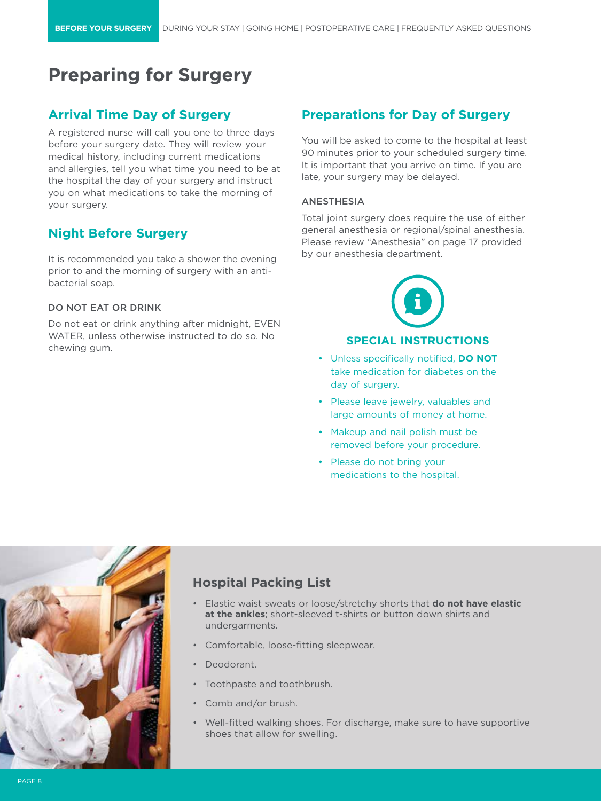# **Preparing for Surgery**

### **Arrival Time Day of Surgery**

A registered nurse will call you one to three days before your surgery date. They will review your medical history, including current medications and allergies, tell you what time you need to be at the hospital the day of your surgery and instruct you on what medications to take the morning of your surgery.

### **Night Before Surgery**

It is recommended you take a shower the evening prior to and the morning of surgery with an antibacterial soap.

### DO NOT EAT OR DRINK

Do not eat or drink anything after midnight, EVEN WATER, unless otherwise instructed to do so. No chewing gum.

### **Preparations for Day of Surgery**

You will be asked to come to the hospital at least 90 minutes prior to your scheduled surgery time. It is important that you arrive on time. If you are late, your surgery may be delayed.

### ANESTHESIA

Total joint surgery does require the use of either general anesthesia or regional/spinal anesthesia. Please review "Anesthesia" on page 17 provided by our anesthesia department.



### **SPECIAL INSTRUCTIONS**

- Unless specifically notified, **DO NOT** take medication for diabetes on the day of surgery.
- Please leave jewelry, valuables and large amounts of money at home.
- Makeup and nail polish must be removed before your procedure.
- Please do not bring your medications to the hospital.



### **Hospital Packing List**

- Elastic waist sweats or loose/stretchy shorts that **do not have elastic at the ankles**; short-sleeved t-shirts or button down shirts and undergarments.
- Comfortable, loose-fitting sleepwear.
- Deodorant.
- Toothpaste and toothbrush.
- Comb and/or brush.
- Well-fitted walking shoes. For discharge, make sure to have supportive shoes that allow for swelling.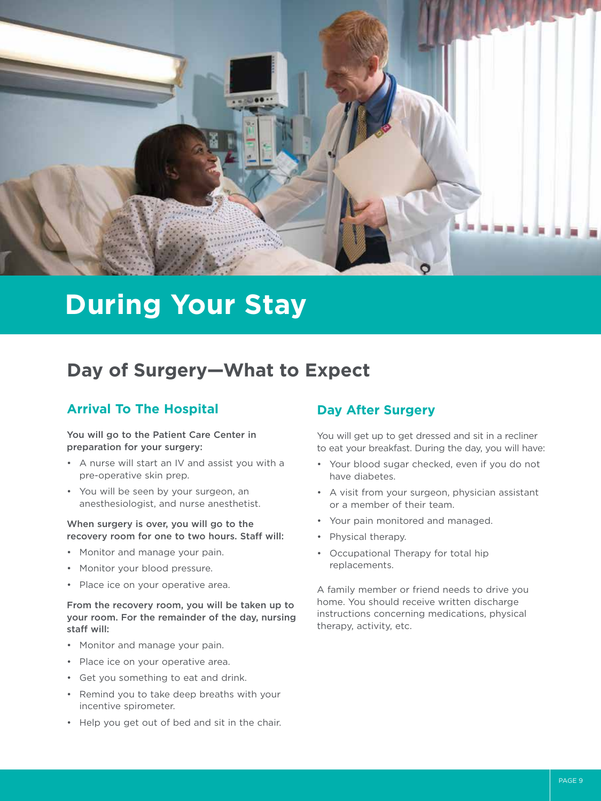

# **During Your Stay**

# **Day of Surgery—What to Expect**

### **Arrival To The Hospital**

### You will go to the Patient Care Center in preparation for your surgery:

- A nurse will start an IV and assist you with a pre-operative skin prep.
- You will be seen by your surgeon, an anesthesiologist, and nurse anesthetist.

### When surgery is over, you will go to the recovery room for one to two hours. Staff will:

- Monitor and manage your pain.
- Monitor your blood pressure.
- Place ice on your operative area.

### From the recovery room, you will be taken up to your room. For the remainder of the day, nursing staff will:

- Monitor and manage your pain.
- Place ice on your operative area.
- Get you something to eat and drink.
- Remind you to take deep breaths with your incentive spirometer.
- Help you get out of bed and sit in the chair.

### **Day After Surgery**

You will get up to get dressed and sit in a recliner to eat your breakfast. During the day, you will have:

- Your blood sugar checked, even if you do not have diabetes.
- A visit from your surgeon, physician assistant or a member of their team.
- Your pain monitored and managed.
- Physical therapy.
- Occupational Therapy for total hip replacements.

A family member or friend needs to drive you home. You should receive written discharge instructions concerning medications, physical therapy, activity, etc.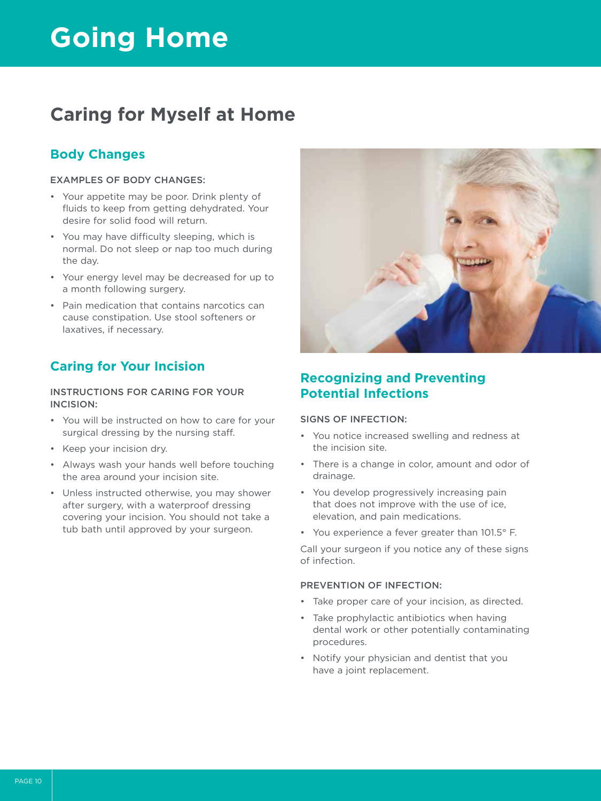# **Going Home**

# **Caring for Myself at Home**

### **Body Changes**

### EXAMPLES OF BODY CHANGES:

- Your appetite may be poor. Drink plenty of fluids to keep from getting dehydrated. Your desire for solid food will return.
- You may have difficulty sleeping, which is normal. Do not sleep or nap too much during the day.
- Your energy level may be decreased for up to a month following surgery.
- Pain medication that contains narcotics can cause constipation. Use stool softeners or laxatives, if necessary.

### **Caring for Your Incision**

### INSTRUCTIONS FOR CARING FOR YOUR INCISION:

- You will be instructed on how to care for your surgical dressing by the nursing staff.
- Keep your incision dry.
- Always wash your hands well before touching the area around your incision site.
- Unless instructed otherwise, you may shower after surgery, with a waterproof dressing covering your incision. You should not take a tub bath until approved by your surgeon.



### **Recognizing and Preventing Potential Infections**

### SIGNS OF INFECTION:

- You notice increased swelling and redness at the incision site.
- There is a change in color, amount and odor of drainage.
- You develop progressively increasing pain that does not improve with the use of ice, elevation, and pain medications.
- You experience a fever greater than 101.5° F.

Call your surgeon if you notice any of these signs of infection.

### PREVENTION OF INFECTION:

- Take proper care of your incision, as directed.
- Take prophylactic antibiotics when having dental work or other potentially contaminating procedures.
- Notify your physician and dentist that you have a joint replacement.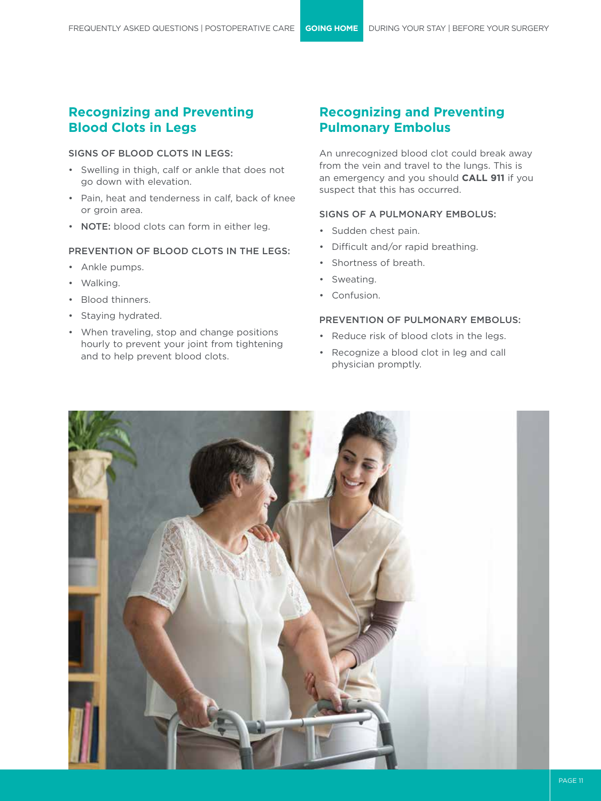### **Recognizing and Preventing Blood Clots in Legs**

### SIGNS OF BLOOD CLOTS IN LEGS:

- Swelling in thigh, calf or ankle that does not go down with elevation.
- Pain, heat and tenderness in calf, back of knee or groin area.
- NOTE: blood clots can form in either leg.

### PREVENTION OF BLOOD CLOTS IN THE LEGS:

- Ankle pumps.
- Walking.
- Blood thinners.
- Staying hydrated.
- When traveling, stop and change positions hourly to prevent your joint from tightening and to help prevent blood clots.

### **Recognizing and Preventing Pulmonary Embolus**

An unrecognized blood clot could break away from the vein and travel to the lungs. This is an emergency and you should **CALL 911** if you suspect that this has occurred.

### SIGNS OF A PULMONARY EMBOLUS:

- Sudden chest pain.
- Difficult and/or rapid breathing.
- Shortness of breath.
- Sweating.
- Confusion.

### PREVENTION OF PULMONARY EMBOLUS:

- Reduce risk of blood clots in the legs.
- Recognize a blood clot in leg and call physician promptly.

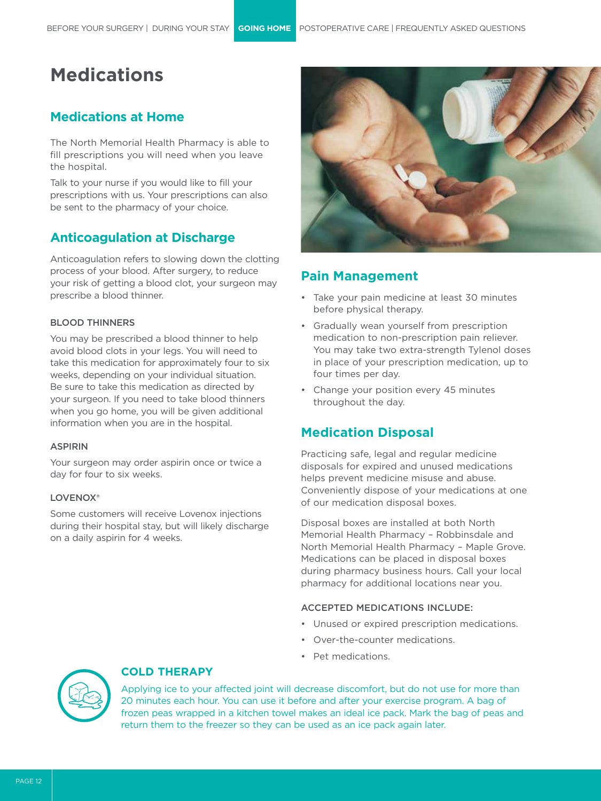# **Medications**

### **Medications at Home**

The North Memorial Health Pharmacy is able to fill prescriptions you will need when you leave the hospital.

Talk to your nurse if you would like to fill your prescriptions with us. Your prescriptions can also be sent to the pharmacy of your choice.

### **Anticoagulation at Discharge**

Anticoagulation refers to slowing down the clotting process of your blood. After surgery, to reduce your risk of getting a blood clot, your surgeon may prescribe a blood thinner.

### BLOOD THINNERS

You may be prescribed a blood thinner to help avoid blood clots in your legs. You will need to take this medication for approximately four to six weeks, depending on your individual situation. Be sure to take this medication as directed by your surgeon. If you need to take blood thinners when you go home, you will be given additional information when you are in the hospital.

### ASPIRIN

Your surgeon may order aspirin once or twice a day for four to six weeks.

### LOVENOX<sup>®</sup>

Some customers will receive Lovenox injections during their hospital stay, but will likely discharge on a daily aspirin for 4 weeks.



### **Pain Management**

- Take your pain medicine at least 30 minutes before physical therapy.
- Gradually wean yourself from prescription medication to non-prescription pain reliever. You may take two extra-strength Tylenol doses in place of your prescription medication, up to four times per day.
- Change your position every 45 minutes throughout the day.

### **Medication Disposal**

Practicing safe, legal and regular medicine disposals for expired and unused medications helps prevent medicine misuse and abuse. Conveniently dispose of your medications at one of our medication disposal boxes.

Disposal boxes are installed at both North Memorial Health Pharmacy – Robbinsdale and North Memorial Health Pharmacy – Maple Grove. Medications can be placed in disposal boxes during pharmacy business hours. Call your local pharmacy for additional locations near you.

### ACCEPTED MEDICATIONS INCLUDE:

- Unused or expired prescription medications.
- Over-the-counter medications.
- Pet medications.



### **COLD THERAPY**

Applying ice to your affected joint will decrease discomfort, but do not use for more than 20 minutes each hour. You can use it before and after your exercise program. A bag of frozen peas wrapped in a kitchen towel makes an ideal ice pack. Mark the bag of peas and return them to the freezer so they can be used as an ice pack again later.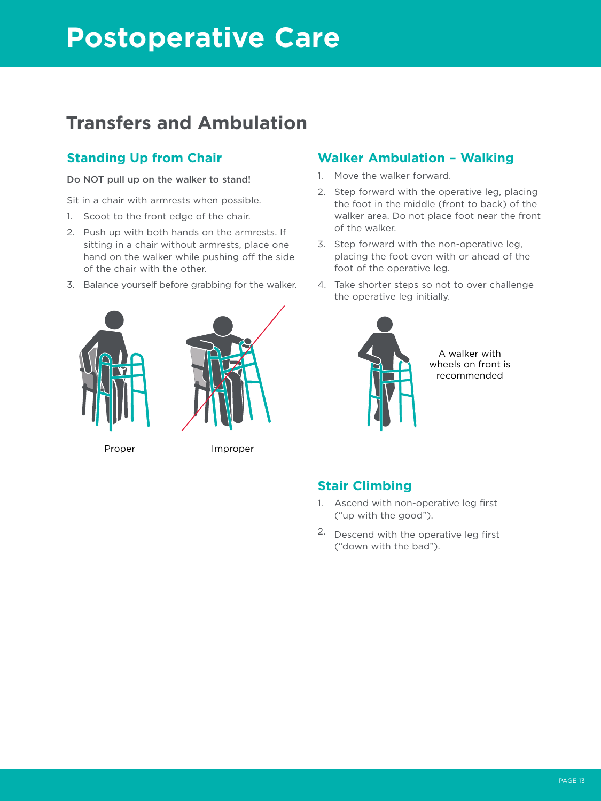# **Postoperative Care**

# **Transfers and Ambulation**

### **Standing Up from Chair**

### Do NOT pull up on the walker to stand!

Sit in a chair with armrests when possible.

- 1. Scoot to the front edge of the chair.
- 2. Push up with both hands on the armrests. If sitting in a chair without armrests, place one hand on the walker while pushing off the side of the chair with the other.
- 3. Balance yourself before grabbing for the walker.





Proper Improper

### **Walker Ambulation – Walking**

- 1. Move the walker forward.
- 2. Step forward with the operative leg, placing the foot in the middle (front to back) of the walker area. Do not place foot near the front of the walker.
- 3. Step forward with the non-operative leg, placing the foot even with or ahead of the foot of the operative leg.
- 4. Take shorter steps so not to over challenge the operative leg initially.



### **Stair Climbing**

- 1. Ascend with non-operative leg first ("up with the good").
- 2. Descend with the operative leg first ("down with the bad").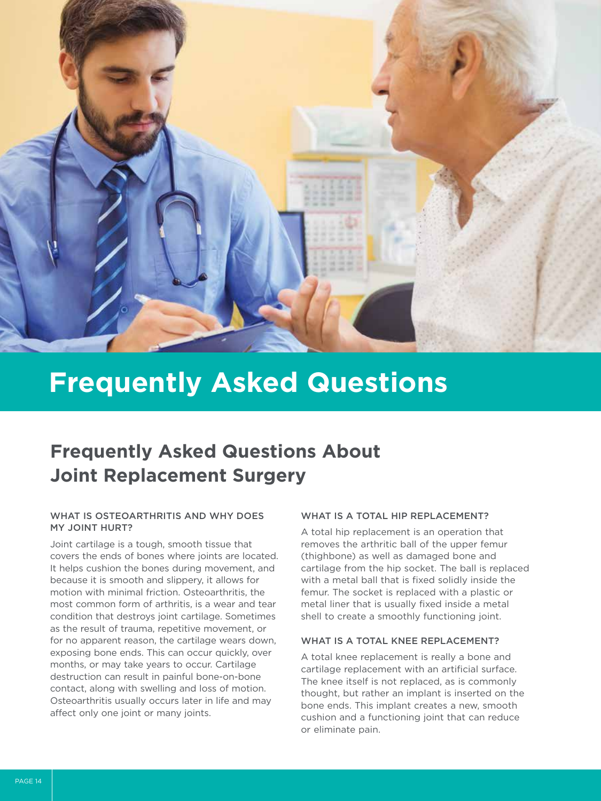

# **Frequently Asked Questions About Joint Replacement Surgery**

### WHAT IS OSTEOARTHRITIS AND WHY DOES MY JOINT HURT?

Joint cartilage is a tough, smooth tissue that covers the ends of bones where joints are located. It helps cushion the bones during movement, and because it is smooth and slippery, it allows for motion with minimal friction. Osteoarthritis, the most common form of arthritis, is a wear and tear condition that destroys joint cartilage. Sometimes as the result of trauma, repetitive movement, or for no apparent reason, the cartilage wears down, exposing bone ends. This can occur quickly, over months, or may take years to occur. Cartilage destruction can result in painful bone-on-bone contact, along with swelling and loss of motion. Osteoarthritis usually occurs later in life and may affect only one joint or many joints.

### WHAT IS A TOTAL HIP REPLACEMENT?

A total hip replacement is an operation that removes the arthritic ball of the upper femur (thighbone) as well as damaged bone and cartilage from the hip socket. The ball is replaced with a metal ball that is fixed solidly inside the femur. The socket is replaced with a plastic or metal liner that is usually fixed inside a metal shell to create a smoothly functioning joint.

### WHAT IS A TOTAL KNEE REPLACEMENT?

A total knee replacement is really a bone and cartilage replacement with an artificial surface. The knee itself is not replaced, as is commonly thought, but rather an implant is inserted on the bone ends. This implant creates a new, smooth cushion and a functioning joint that can reduce or eliminate pain.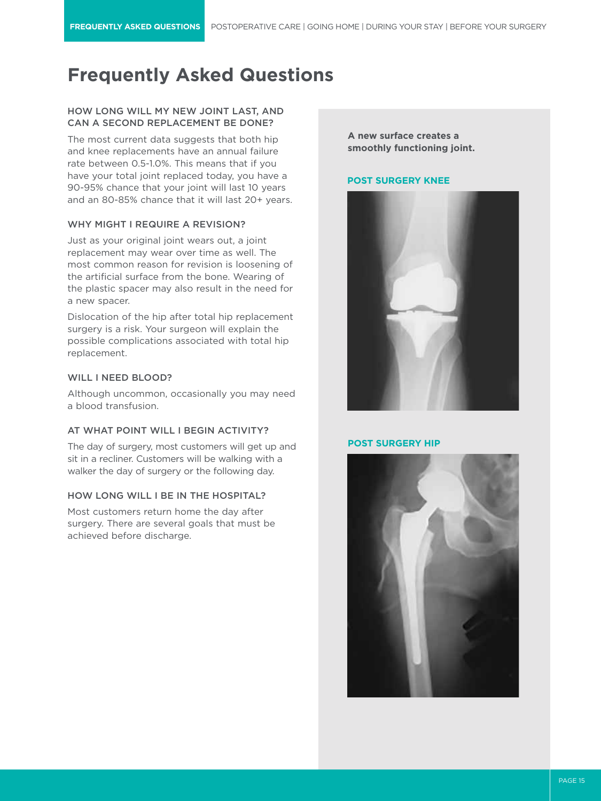### HOW LONG WILL MY NEW JOINT LAST, AND CAN A SECOND REPLACEMENT BE DONE?

The most current data suggests that both hip and knee replacements have an annual failure rate between 0.5-1.0%. This means that if you have your total joint replaced today, you have a 90-95% chance that your joint will last 10 years and an 80-85% chance that it will last 20+ years.

### WHY MIGHT I REQUIRE A REVISION?

Just as your original joint wears out, a joint replacement may wear over time as well. The most common reason for revision is loosening of the artificial surface from the bone. Wearing of the plastic spacer may also result in the need for a new spacer.

Dislocation of the hip after total hip replacement surgery is a risk. Your surgeon will explain the possible complications associated with total hip replacement.

### WILL I NEED BLOOD?

Although uncommon, occasionally you may need a blood transfusion.

### AT WHAT POINT WILL I BEGIN ACTIVITY?

The day of surgery, most customers will get up and sit in a recliner. Customers will be walking with a walker the day of surgery or the following day.

### HOW LONG WILL I BE IN THE HOSPITAL?

Most customers return home the day after surgery. There are several goals that must be achieved before discharge.

**A new surface creates a smoothly functioning joint.**

### **POST SURGERY KNEE**



#### **POST SURGERY HIP**

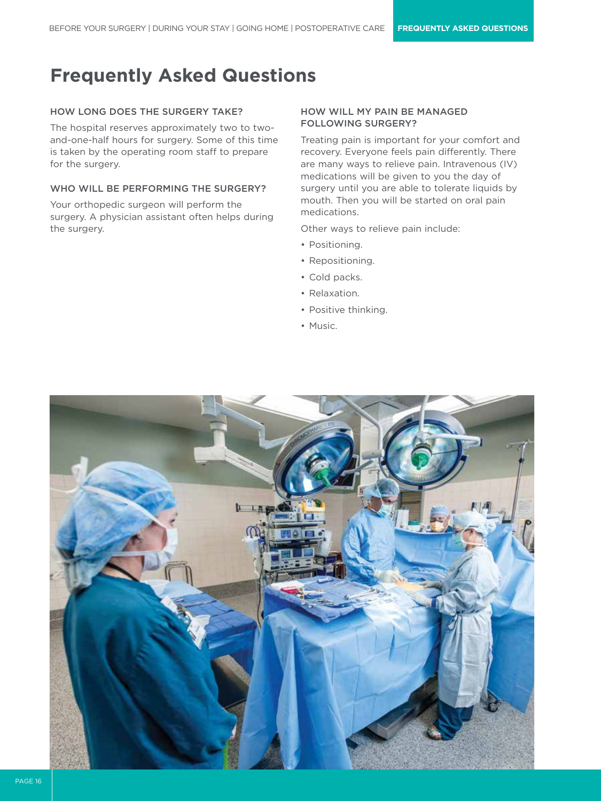### HOW LONG DOES THE SURGERY TAKE?

The hospital reserves approximately two to twoand-one-half hours for surgery. Some of this time is taken by the operating room staff to prepare for the surgery.

### WHO WILL BE PERFORMING THE SURGERY?

Your orthopedic surgeon will perform the surgery. A physician assistant often helps during the surgery.

### HOW WILL MY PAIN BE MANAGED FOLLOWING SURGERY?

Treating pain is important for your comfort and recovery. Everyone feels pain differently. There are many ways to relieve pain. Intravenous (IV) medications will be given to you the day of surgery until you are able to tolerate liquids by mouth. Then you will be started on oral pain medications.

Other ways to relieve pain include:

- Positioning.
- Repositioning.
- Cold packs.
- Relaxation.
- Positive thinking.
- Music.

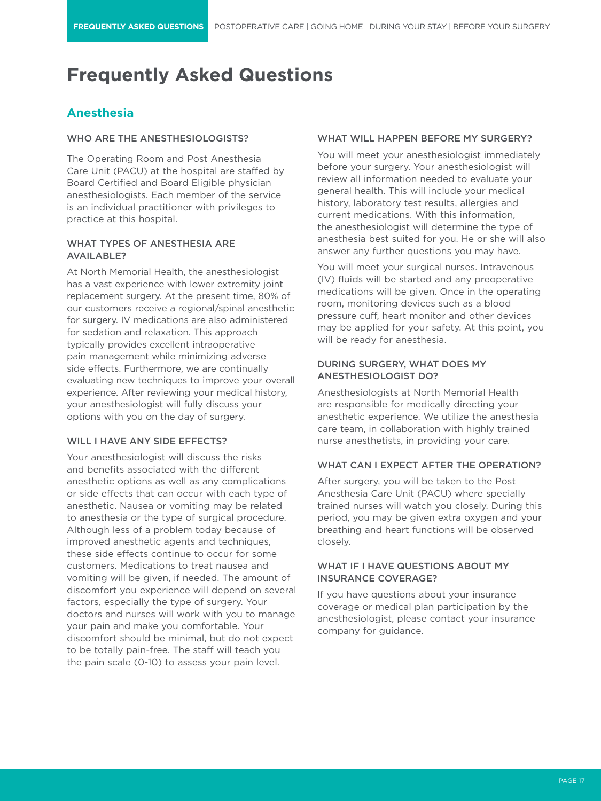### **Anesthesia**

### WHO ARE THE ANESTHESIOLOGISTS?

The Operating Room and Post Anesthesia Care Unit (PACU) at the hospital are staffed by Board Certified and Board Eligible physician anesthesiologists. Each member of the service is an individual practitioner with privileges to practice at this hospital.

### WHAT TYPES OF ANESTHESIA ARE AVAILABLE?

At North Memorial Health, the anesthesiologist has a vast experience with lower extremity joint replacement surgery. At the present time, 80% of our customers receive a regional/spinal anesthetic for surgery. IV medications are also administered for sedation and relaxation. This approach typically provides excellent intraoperative pain management while minimizing adverse side effects. Furthermore, we are continually evaluating new techniques to improve your overall experience. After reviewing your medical history, your anesthesiologist will fully discuss your options with you on the day of surgery.

### WILL I HAVE ANY SIDE EFFECTS?

Your anesthesiologist will discuss the risks and benefits associated with the different anesthetic options as well as any complications or side effects that can occur with each type of anesthetic. Nausea or vomiting may be related to anesthesia or the type of surgical procedure. Although less of a problem today because of improved anesthetic agents and techniques, these side effects continue to occur for some customers. Medications to treat nausea and vomiting will be given, if needed. The amount of discomfort you experience will depend on several factors, especially the type of surgery. Your doctors and nurses will work with you to manage your pain and make you comfortable. Your discomfort should be minimal, but do not expect to be totally pain-free. The staff will teach you the pain scale (0-10) to assess your pain level.

#### WHAT WILL HAPPEN BEFORE MY SURGERY?

You will meet your anesthesiologist immediately before your surgery. Your anesthesiologist will review all information needed to evaluate your general health. This will include your medical history, laboratory test results, allergies and current medications. With this information, the anesthesiologist will determine the type of anesthesia best suited for you. He or she will also answer any further questions you may have.

You will meet your surgical nurses. Intravenous (IV) fluids will be started and any preoperative medications will be given. Once in the operating room, monitoring devices such as a blood pressure cuff, heart monitor and other devices may be applied for your safety. At this point, you will be ready for anesthesia.

### DURING SURGERY, WHAT DOES MY ANESTHESIOLOGIST DO?

Anesthesiologists at North Memorial Health are responsible for medically directing your anesthetic experience. We utilize the anesthesia care team, in collaboration with highly trained nurse anesthetists, in providing your care.

#### WHAT CAN I EXPECT AFTER THE OPERATION?

After surgery, you will be taken to the Post Anesthesia Care Unit (PACU) where specially trained nurses will watch you closely. During this period, you may be given extra oxygen and your breathing and heart functions will be observed closely.

### WHAT IF I HAVE QUESTIONS ABOUT MY INSURANCE COVERAGE?

If you have questions about your insurance coverage or medical plan participation by the anesthesiologist, please contact your insurance company for guidance.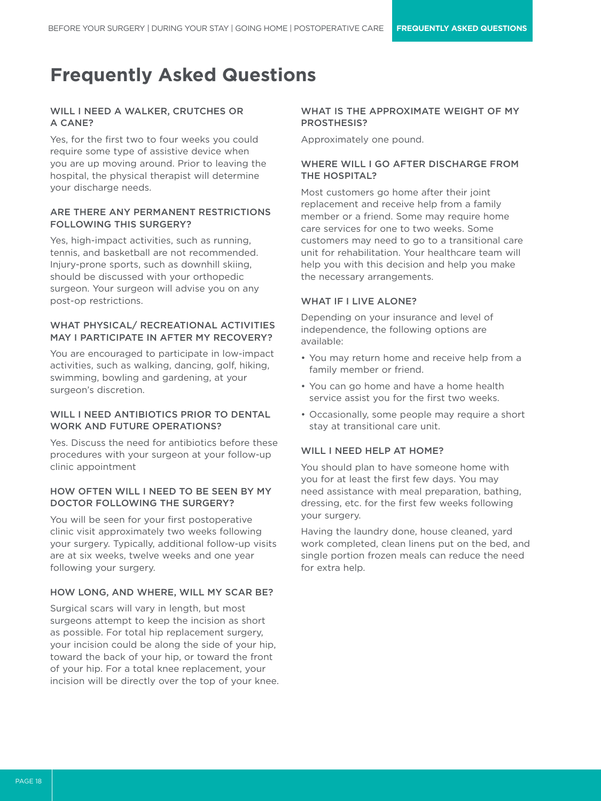### WILL I NEED A WALKER, CRUTCHES OR A CANE?

Yes, for the first two to four weeks you could require some type of assistive device when you are up moving around. Prior to leaving the hospital, the physical therapist will determine your discharge needs.

### ARE THERE ANY PERMANENT RESTRICTIONS FOLLOWING THIS SURGERY?

Yes, high-impact activities, such as running, tennis, and basketball are not recommended. Injury-prone sports, such as downhill skiing, should be discussed with your orthopedic surgeon. Your surgeon will advise you on any post-op restrictions.

### WHAT PHYSICAL/ RECREATIONAL ACTIVITIES MAY I PARTICIPATE IN AFTER MY RECOVERY?

You are encouraged to participate in low-impact activities, such as walking, dancing, golf, hiking, swimming, bowling and gardening, at your surgeon's discretion.

### WILL I NEED ANTIBIOTICS PRIOR TO DENTAL WORK AND FUTURE OPERATIONS?

Yes. Discuss the need for antibiotics before these procedures with your surgeon at your follow-up clinic appointment

### HOW OFTEN WILL I NEED TO BE SEEN BY MY DOCTOR FOLLOWING THE SURGERY?

You will be seen for your first postoperative clinic visit approximately two weeks following your surgery. Typically, additional follow-up visits are at six weeks, twelve weeks and one year following your surgery.

### HOW LONG, AND WHERE, WILL MY SCAR BE?

Surgical scars will vary in length, but most surgeons attempt to keep the incision as short as possible. For total hip replacement surgery, your incision could be along the side of your hip, toward the back of your hip, or toward the front of your hip. For a total knee replacement, your incision will be directly over the top of your knee.

### WHAT IS THE APPROXIMATE WEIGHT OF MY PROSTHESIS?

Approximately one pound.

### WHERE WILL I GO AFTER DISCHARGE FROM THE HOSPITAL?

Most customers go home after their joint replacement and receive help from a family member or a friend. Some may require home care services for one to two weeks. Some customers may need to go to a transitional care unit for rehabilitation. Your healthcare team will help you with this decision and help you make the necessary arrangements.

### WHAT IF I LIVE ALONE?

Depending on your insurance and level of independence, the following options are available:

- You may return home and receive help from a family member or friend.
- You can go home and have a home health service assist you for the first two weeks.
- Occasionally, some people may require a short stay at transitional care unit.

### WILL I NEED HELP AT HOME?

You should plan to have someone home with you for at least the first few days. You may need assistance with meal preparation, bathing, dressing, etc. for the first few weeks following your surgery.

Having the laundry done, house cleaned, yard work completed, clean linens put on the bed, and single portion frozen meals can reduce the need for extra help.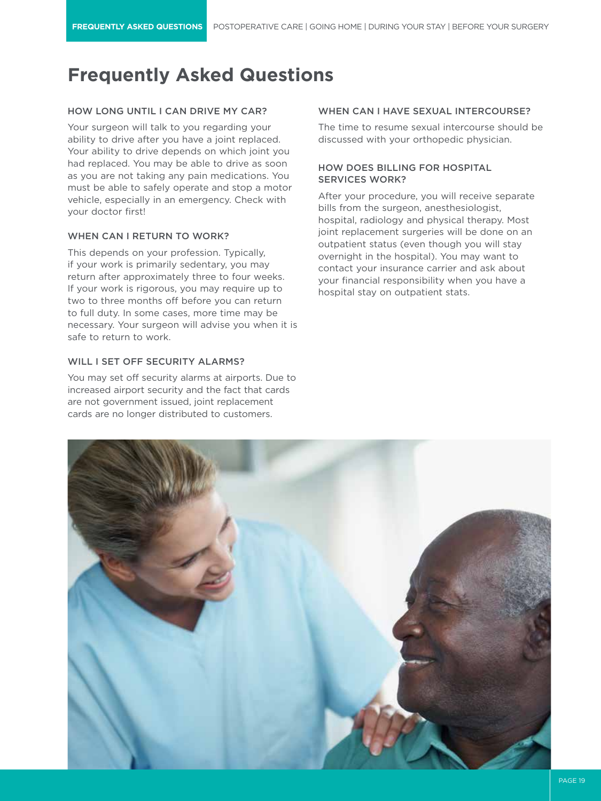### HOW LONG UNTIL I CAN DRIVE MY CAR?

Your surgeon will talk to you regarding your ability to drive after you have a joint replaced. Your ability to drive depends on which joint you had replaced. You may be able to drive as soon as you are not taking any pain medications. You must be able to safely operate and stop a motor vehicle, especially in an emergency. Check with your doctor first!

### WHEN CAN I RETURN TO WORK?

This depends on your profession. Typically, if your work is primarily sedentary, you may return after approximately three to four weeks. If your work is rigorous, you may require up to two to three months off before you can return to full duty. In some cases, more time may be necessary. Your surgeon will advise you when it is safe to return to work.

### WILL I SET OFF SECURITY ALARMS?

You may set off security alarms at airports. Due to increased airport security and the fact that cards are not government issued, joint replacement cards are no longer distributed to customers.

### WHEN CAN I HAVE SEXUAL INTERCOURSE?

The time to resume sexual intercourse should be discussed with your orthopedic physician.

### HOW DOES BILLING FOR HOSPITAL SERVICES WORK?

After your procedure, you will receive separate bills from the surgeon, anesthesiologist, hospital, radiology and physical therapy. Most joint replacement surgeries will be done on an outpatient status (even though you will stay overnight in the hospital). You may want to contact your insurance carrier and ask about your financial responsibility when you have a hospital stay on outpatient stats.

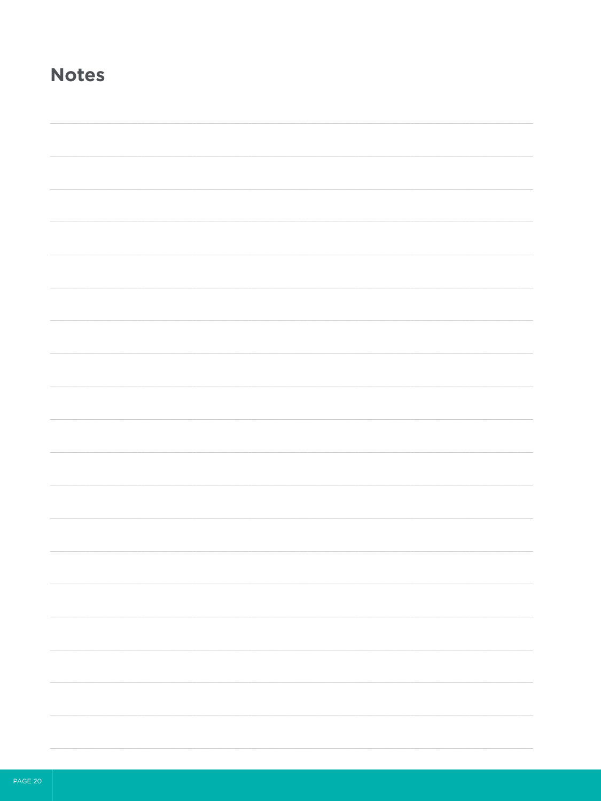# **Notes**